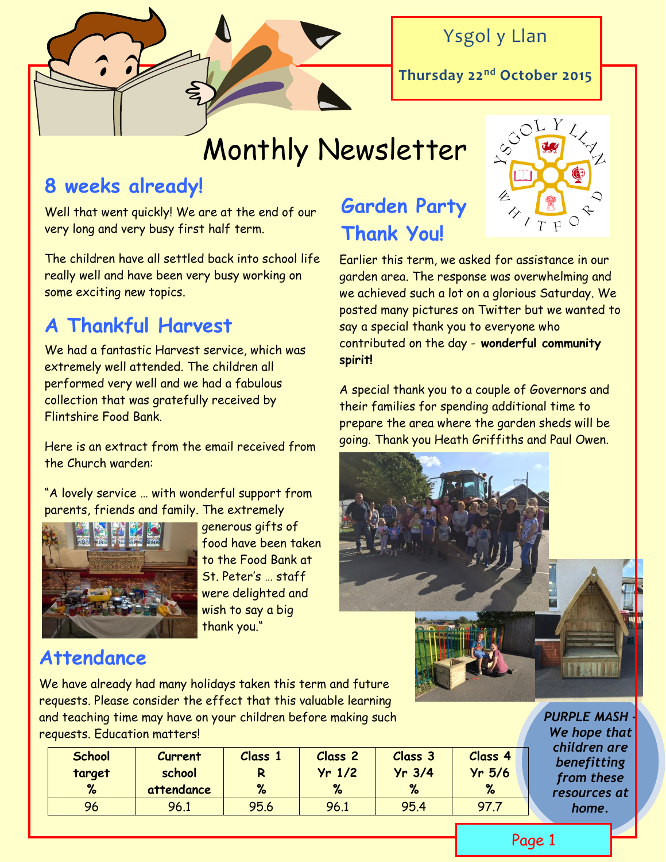

### Ysgol y Llan

**Thursday 22nd October 2015**

# Monthly Newsletter

### **8 weeks already!**

Well that went quickly! We are at the end of our very long and very busy first half term.

The children have all settled back into school life really well and have been very busy working on some exciting new topics.

## **A Thankful Harvest**

We had a fantastic Harvest service, which was extremely well attended. The children all performed very well and we had a fabulous collection that was gratefully received by Flintshire Food Bank.

Here is an extract from the email received from the Church warden:

"A lovely service … with wonderful support from parents, friends and family. The extremely



 generous gifts of food have been taken to the Food Bank at St. Peter's … staff were delighted and wish to say a big thank you."

### **Garden Party Thank You!**



Earlier this term, we asked for assistance in our garden area. The response was overwhelming and we achieved such a lot on a glorious Saturday. We posted many pictures on Twitter but we wanted to say a special thank you to everyone who contributed on the day - **wonderful community spirit!**

A special thank you to a couple of Governors and their families for spending additional time to prepare the area where the garden sheds will be going. Thank you Heath Griffiths and Paul Owen.



We have already had many holidays taken this term and future requests. Please consider the effect that this valuable learning and teaching time may have on your children before making such requests. Education matters!

| <b>School</b><br>target<br>% | <b>Current</b><br>school<br>attendance | Class 1<br>% | <b>Class 2</b><br>$Yr$ 1/2<br>% | Class 3<br>$Yr$ 3/4<br>$\%$ | Class 4<br>$Yr$ 5/6 |
|------------------------------|----------------------------------------|--------------|---------------------------------|-----------------------------|---------------------|
| 96                           | 96.1                                   | 95.6         | 96.1                            | 95.4                        | 97.7                |

*PURPLE MASH - We hope that children are benefitting from these resources at home.* 

#### Page 1

### **Attendance**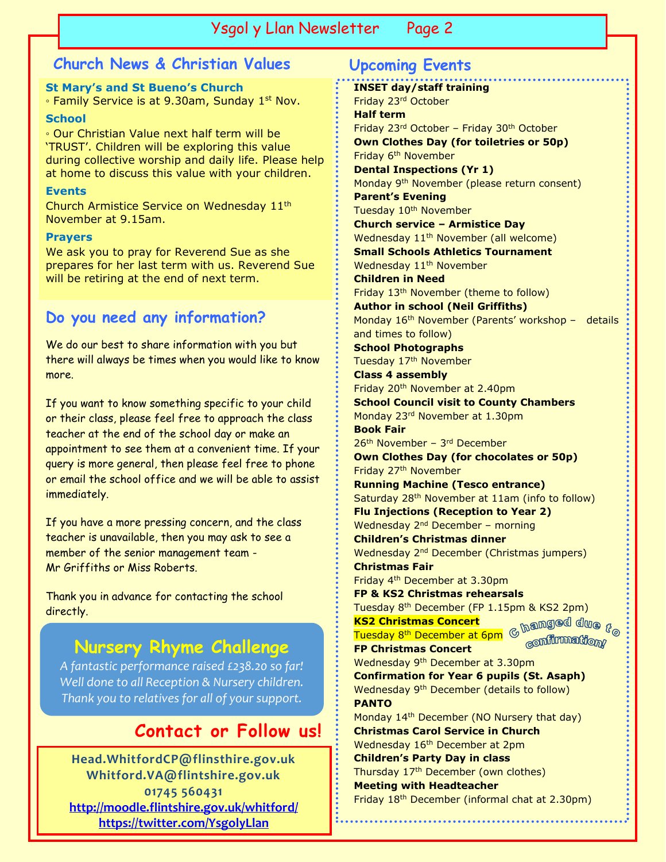#### Ysgol y Llan Newsletter Page 2

#### **Church News & Christian Values Upcoming Events**

**St Mary's and St Bueno's Church**  ∘ Family Service is at 9.30am, Sunday 1<sup>st</sup> Nov.

#### **School**

◦ Our Christian Value next half term will be 'TRUST'. Children will be exploring this value during collective worship and daily life. Please help at home to discuss this value with your children.

#### **Events**

Church Armistice Service on Wednesday 11th November at 9.15am.

#### **Prayers**

We ask you to pray for Reverend Sue as she prepares for her last term with us. Reverend Sue will be retiring at the end of next term.

#### **Do you need any information?**

We do our best to share information with you but there will always be times when you would like to know more.

If you want to know something specific to your child or their class, please feel free to approach the class teacher at the end of the school day or make an appointment to see them at a convenient time. If your query is more general, then please feel free to phone or email the school office and we will be able to assist immediately.

If you have a more pressing concern, and the class teacher is unavailable, then you may ask to see a member of the senior management team - Mr Griffiths or Miss Roberts.

Thank you in advance for contacting the school directly.

### **Nursery Rhyme Challenge**

*A fantastic performance raised £238.20 so far! Well done to all Reception & Nursery children. Thank you to relatives for all of your support.*

#### **Contact or Follow us!**

**Head.WhitfordCP@flinsthire.gov.uk Whitford.VA@flintshire.gov.uk 01745 560431 <http://moodle.flintshire.gov.uk/whitford/> <https://twitter.com/YsgolyLlan>**

#### **INSET day/staff training** Friday 23rd October **Half term** Friday 23rd October – Friday 30th October **Own Clothes Day (for toiletries or 50p)** Friday 6<sup>th</sup> November **Dental Inspections (Yr 1)** Monday 9th November (please return consent) **Parent's Evening** Tuesday 10<sup>th</sup> November **Church service – Armistice Day** Wednesday 11<sup>th</sup> November (all welcome) **Small Schools Athletics Tournament** Wednesday 11<sup>th</sup> November **Children in Need** Friday 13th November (theme to follow) **Author in school (Neil Griffiths)** Monday 16<sup>th</sup> November (Parents' workshop - details and times to follow) **School Photographs** Tuesday 17<sup>th</sup> November **Class 4 assembly** Friday 20th November at 2.40pm **School Council visit to County Chambers** Monday 23rd November at 1.30pm **Book Fair** 26<sup>th</sup> November - 3<sup>rd</sup> December **Own Clothes Day (for chocolates or 50p)** Friday 27th November **Running Machine (Tesco entrance)** Saturday 28<sup>th</sup> November at 11am (info to follow) **Flu Injections (Reception to Year 2)** Wednesday 2<sup>nd</sup> December - morning **Children's Christmas dinner**

Wednesday 2<sup>nd</sup> December (Christmas jumpers) **Christmas Fair** Friday 4th December at 3.30pm

**FP & KS2 Christmas rehearsals**

Tuesday 8th December (FP 1.15pm & KS2 2pm)  $\mathrm{G}$  hanged due  $r_{\odot}$ **KS2 Christmas Concert** Tuesday 8<sup>th</sup> December at 6pm confirmation

**FP Christmas Concert** Wednesday 9th December at 3.30pm **Confirmation for Year 6 pupils (St. Asaph)** Wednesday 9th December (details to follow) **PANTO**

Monday 14<sup>th</sup> December (NO Nursery that day) **Christmas Carol Service in Church** Wednesday 16<sup>th</sup> December at 2pm **Children's Party Day in class** Thursday 17<sup>th</sup> December (own clothes) **Meeting with Headteacher** Friday 18th December (informal chat at 2.30pm)